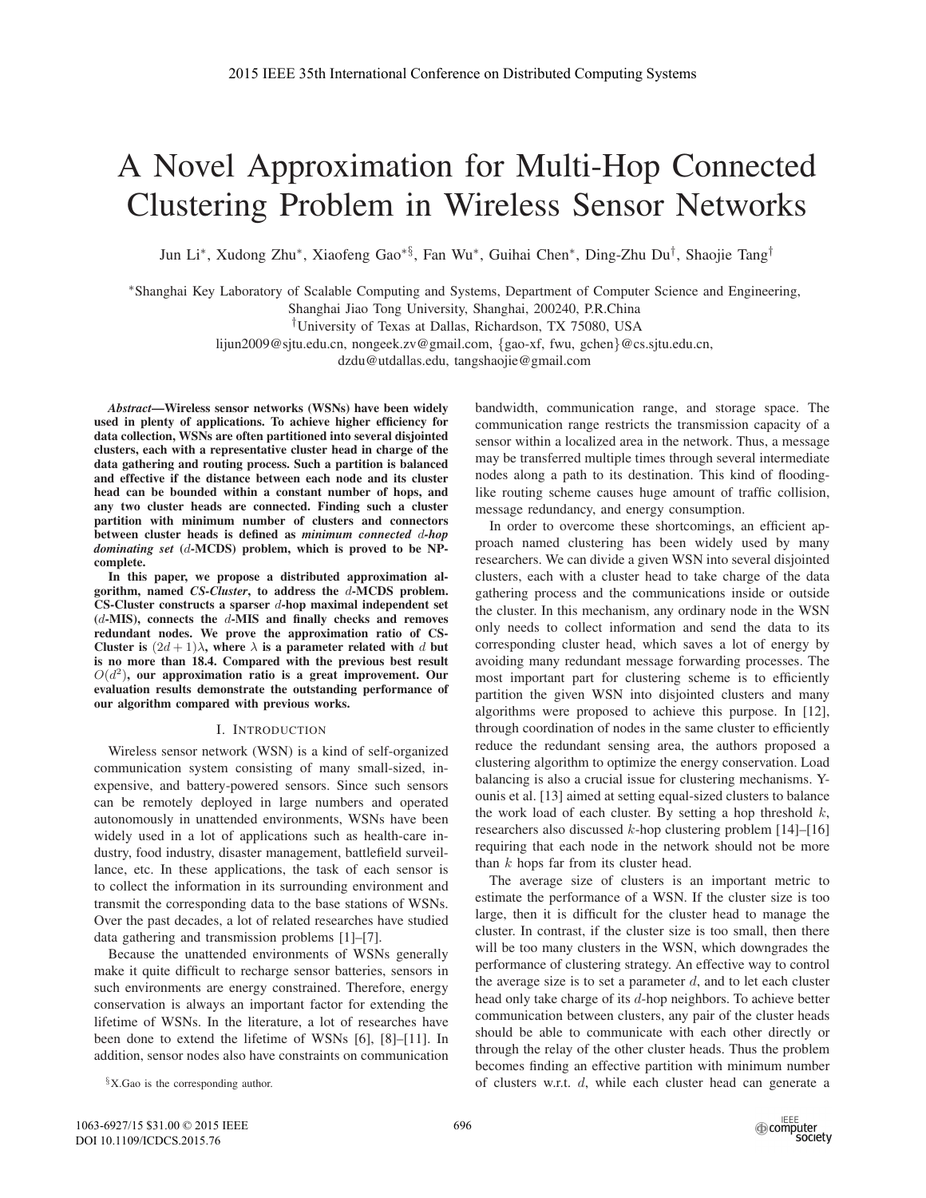# A Novel Approximation for Multi-Hop Connected Clustering Problem in Wireless Sensor Networks

Jun Li∗, Xudong Zhu∗, Xiaofeng Gao∗§, Fan Wu∗, Guihai Chen∗, Ding-Zhu Du†, Shaojie Tang†

<sup>∗</sup>Shanghai Key Laboratory of Scalable Computing and Systems, Department of Computer Science and Engineering, Shanghai Jiao Tong University, Shanghai, 200240, P.R.China †University of Texas at Dallas, Richardson, TX 75080, USA

lijun2009@sjtu.edu.cn, nongeek.zv@gmail.com, {gao-xf, fwu, gchen}@cs.sjtu.edu.cn,

dzdu@utdallas.edu, tangshaojie@gmail.com

*Abstract*—Wireless sensor networks (WSNs) have been widely used in plenty of applications. To achieve higher efficiency for data collection, WSNs are often partitioned into several disjointed clusters, each with a representative cluster head in charge of the data gathering and routing process. Such a partition is balanced and effective if the distance between each node and its cluster head can be bounded within a constant number of hops, and any two cluster heads are connected. Finding such a cluster partition with minimum number of clusters and connectors between cluster heads is defined as *minimum connected* d*-hop dominating set* (d-MCDS) problem, which is proved to be NPcomplete.

In this paper, we propose a distributed approximation algorithm, named *CS-Cluster*, to address the d-MCDS problem. CS-Cluster constructs a sparser d-hop maximal independent set (d-MIS), connects the d-MIS and finally checks and removes redundant nodes. We prove the approximation ratio of CS-Cluster is  $(2d + 1)\lambda$ , where  $\lambda$  is a parameter related with d but is no more than 18.4. Compared with the previous best result  $O(d^2)$ , our approximation ratio is a great improvement. Our evaluation results demonstrate the outstanding performance of our algorithm compared with previous works.

## I. INTRODUCTION

Wireless sensor network (WSN) is a kind of self-organized communication system consisting of many small-sized, inexpensive, and battery-powered sensors. Since such sensors can be remotely deployed in large numbers and operated autonomously in unattended environments, WSNs have been widely used in a lot of applications such as health-care industry, food industry, disaster management, battlefield surveillance, etc. In these applications, the task of each sensor is to collect the information in its surrounding environment and transmit the corresponding data to the base stations of WSNs. Over the past decades, a lot of related researches have studied data gathering and transmission problems [1]–[7].

Because the unattended environments of WSNs generally make it quite difficult to recharge sensor batteries, sensors in such environments are energy constrained. Therefore, energy conservation is always an important factor for extending the lifetime of WSNs. In the literature, a lot of researches have been done to extend the lifetime of WSNs [6], [8]–[11]. In addition, sensor nodes also have constraints on communication bandwidth, communication range, and storage space. The communication range restricts the transmission capacity of a sensor within a localized area in the network. Thus, a message may be transferred multiple times through several intermediate nodes along a path to its destination. This kind of floodinglike routing scheme causes huge amount of traffic collision, message redundancy, and energy consumption.

In order to overcome these shortcomings, an efficient approach named clustering has been widely used by many researchers. We can divide a given WSN into several disjointed clusters, each with a cluster head to take charge of the data gathering process and the communications inside or outside the cluster. In this mechanism, any ordinary node in the WSN only needs to collect information and send the data to its corresponding cluster head, which saves a lot of energy by avoiding many redundant message forwarding processes. The most important part for clustering scheme is to efficiently partition the given WSN into disjointed clusters and many algorithms were proposed to achieve this purpose. In [12], through coordination of nodes in the same cluster to efficiently reduce the redundant sensing area, the authors proposed a clustering algorithm to optimize the energy conservation. Load balancing is also a crucial issue for clustering mechanisms. Younis et al. [13] aimed at setting equal-sized clusters to balance the work load of each cluster. By setting a hop threshold  $k$ , researchers also discussed  $k$ -hop clustering problem [14]–[16] requiring that each node in the network should not be more than  $k$  hops far from its cluster head.

The average size of clusters is an important metric to estimate the performance of a WSN. If the cluster size is too large, then it is difficult for the cluster head to manage the cluster. In contrast, if the cluster size is too small, then there will be too many clusters in the WSN, which downgrades the performance of clustering strategy. An effective way to control the average size is to set a parameter  $d$ , and to let each cluster head only take charge of its d-hop neighbors. To achieve better communication between clusters, any pair of the cluster heads should be able to communicate with each other directly or through the relay of the other cluster heads. Thus the problem becomes finding an effective partition with minimum number of clusters w.r.t. d, while each cluster head can generate a

<sup>§</sup>X.Gao is the corresponding author.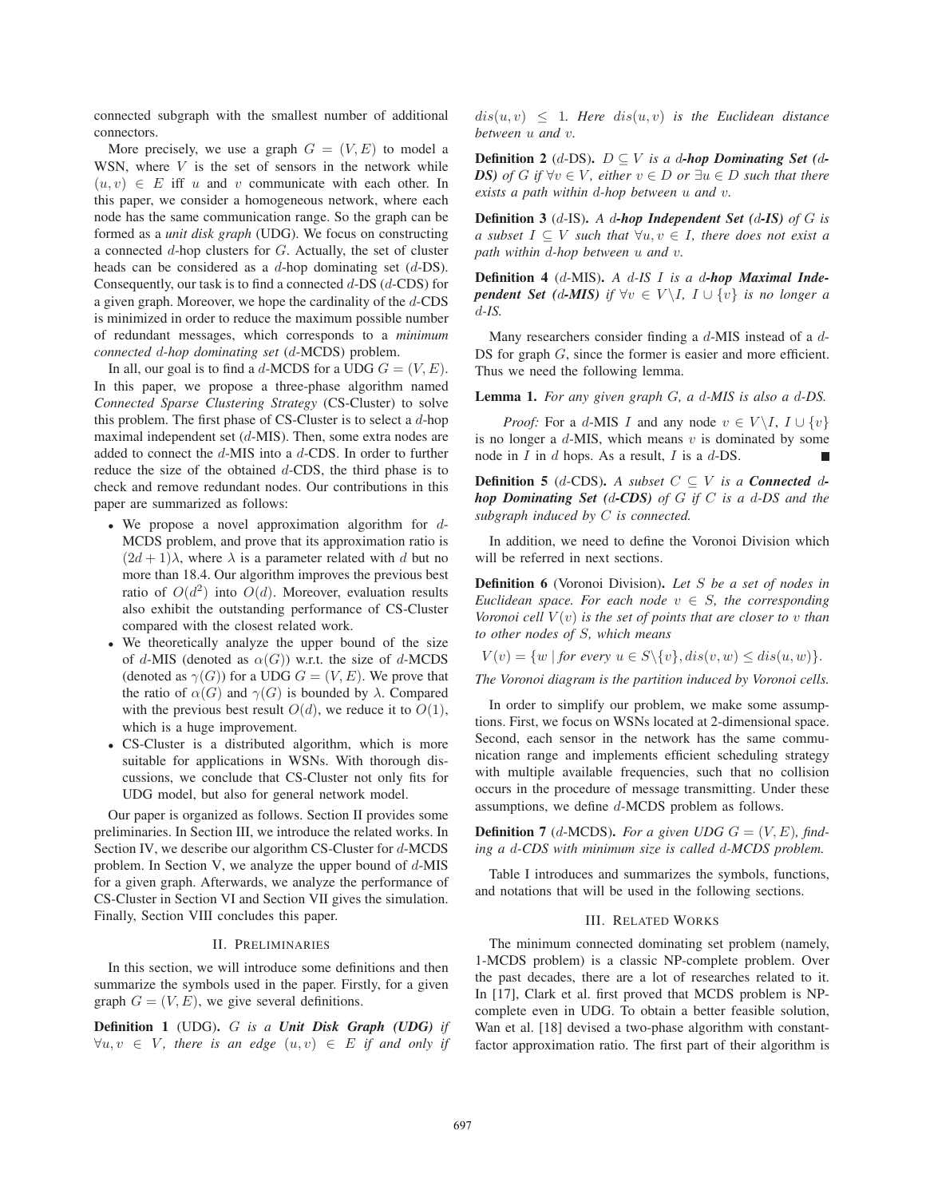connected subgraph with the smallest number of additional connectors.

More precisely, we use a graph  $G = (V, E)$  to model a WSN, where  $V$  is the set of sensors in the network while  $(u, v) \in E$  iff u and v communicate with each other. In this paper, we consider a homogeneous network, where each node has the same communication range. So the graph can be formed as a *unit disk graph* (UDG). We focus on constructing a connected  $d$ -hop clusters for  $G$ . Actually, the set of cluster heads can be considered as a d-hop dominating set (d-DS). Consequently, our task is to find a connected  $d$ -DS ( $d$ -CDS) for a given graph. Moreover, we hope the cardinality of the d-CDS is minimized in order to reduce the maximum possible number of redundant messages, which corresponds to a *minimum connected* d*-hop dominating set* (d-MCDS) problem.

In all, our goal is to find a d-MCDS for a UDG  $G = (V, E)$ . In this paper, we propose a three-phase algorithm named *Connected Sparse Clustering Strategy* (CS-Cluster) to solve this problem. The first phase of CS-Cluster is to select a d-hop maximal independent set (d-MIS). Then, some extra nodes are added to connect the d-MIS into a d-CDS. In order to further reduce the size of the obtained  $d$ -CDS, the third phase is to check and remove redundant nodes. Our contributions in this paper are summarized as follows:

- We propose a novel approximation algorithm for  $d$ -MCDS problem, and prove that its approximation ratio is  $(2d+1)\lambda$ , where  $\lambda$  is a parameter related with d but no more than 18.4. Our algorithm improves the previous best ratio of  $O(d^2)$  into  $O(d)$ . Moreover, evaluation results also exhibit the outstanding performance of CS-Cluster compared with the closest related work.
- We theoretically analyze the upper bound of the size of d-MIS (denoted as  $\alpha(G)$ ) w.r.t. the size of d-MCDS (denoted as  $\gamma(G)$ ) for a UDG  $G = (V, E)$ . We prove that the ratio of  $\alpha(G)$  and  $\gamma(G)$  is bounded by  $\lambda$ . Compared with the previous best result  $O(d)$ , we reduce it to  $O(1)$ , which is a huge improvement.
- CS-Cluster is a distributed algorithm, which is more suitable for applications in WSNs. With thorough discussions, we conclude that CS-Cluster not only fits for UDG model, but also for general network model.

Our paper is organized as follows. Section II provides some preliminaries. In Section III, we introduce the related works. In Section IV, we describe our algorithm CS-Cluster for d-MCDS problem. In Section V, we analyze the upper bound of  $d$ -MIS for a given graph. Afterwards, we analyze the performance of CS-Cluster in Section VI and Section VII gives the simulation. Finally, Section VIII concludes this paper.

## II. PRELIMINARIES

In this section, we will introduce some definitions and then summarize the symbols used in the paper. Firstly, for a given graph  $G = (V, E)$ , we give several definitions.

Definition 1 (UDG). G *is a Unit Disk Graph (UDG) if*  $\forall u, v \in V$ , there is an edge  $(u, v) \in E$  if and only if  $dis(u, v) \leq 1$ . Here  $dis(u, v)$  is the Euclidean distance *between* u *and* v*.*

Definition 2 (d-DS).  $D \subseteq V$  is a d-hop Dominating Set (d-*DS*) *of* G *if*  $\forall v \in V$ *, either*  $v \in D$  *or*  $\exists u \in D$  *such that there exists a path within* d*-hop between* u *and* v*.*

Definition 3 (d-IS). *A* d*-hop Independent Set (*d*-IS) of* G *is a subset*  $I ⊂ V$  *such that*  $\forall u, v \in I$ *, there does not exist a path within* d*-hop between* u *and* v*.*

Definition 4 (d-MIS). *A* d*-IS* I *is a* d*-hop Maximal Independent Set (d-MIS) if*  $\forall v \in V \setminus I$ ,  $I \cup \{v\}$  *is no longer a* d*-IS.*

Many researchers consider finding a d-MIS instead of a d-DS for graph G, since the former is easier and more efficient. Thus we need the following lemma.

Lemma 1. *For any given graph* G*, a* d*-MIS is also a* d*-DS.*

*Proof:* For a d-MIS I and any node  $v \in V \setminus I$ ,  $I \cup \{v\}$ is no longer a  $d$ -MIS, which means  $v$  is dominated by some node in  $I$  in  $d$  hops. As a result,  $I$  is a  $d$ -DS.

**Definition 5** (d-CDS). A subset  $C \subseteq V$  is a **Connected** d*hop Dominating Set (*d*-CDS) of* G *if* C *is a* d*-DS and the subgraph induced by* C *is connected.*

In addition, we need to define the Voronoi Division which will be referred in next sections.

Definition 6 (Voronoi Division). *Let* S *be a set of nodes in Euclidean space. For each node*  $v \in S$ *, the corresponding Voronoi cell*  $V(v)$  *is the set of points that are closer to v than to other nodes of* S*, which means*

 $V(v) = \{w \mid \text{for every } u \in S \setminus \{v\}, \text{dis}(v, w) \leq \text{dis}(u, w)\}.$ 

*The Voronoi diagram is the partition induced by Voronoi cells.*

In order to simplify our problem, we make some assumptions. First, we focus on WSNs located at 2-dimensional space. Second, each sensor in the network has the same communication range and implements efficient scheduling strategy with multiple available frequencies, such that no collision occurs in the procedure of message transmitting. Under these assumptions, we define d-MCDS problem as follows.

**Definition 7** (d-MCDS). For a given UDG  $G = (V, E)$ , find*ing a* d*-CDS with minimum size is called* d*-MCDS problem.*

Table I introduces and summarizes the symbols, functions, and notations that will be used in the following sections.

### III. RELATED WORKS

The minimum connected dominating set problem (namely, 1-MCDS problem) is a classic NP-complete problem. Over the past decades, there are a lot of researches related to it. In [17], Clark et al. first proved that MCDS problem is NPcomplete even in UDG. To obtain a better feasible solution, Wan et al. [18] devised a two-phase algorithm with constantfactor approximation ratio. The first part of their algorithm is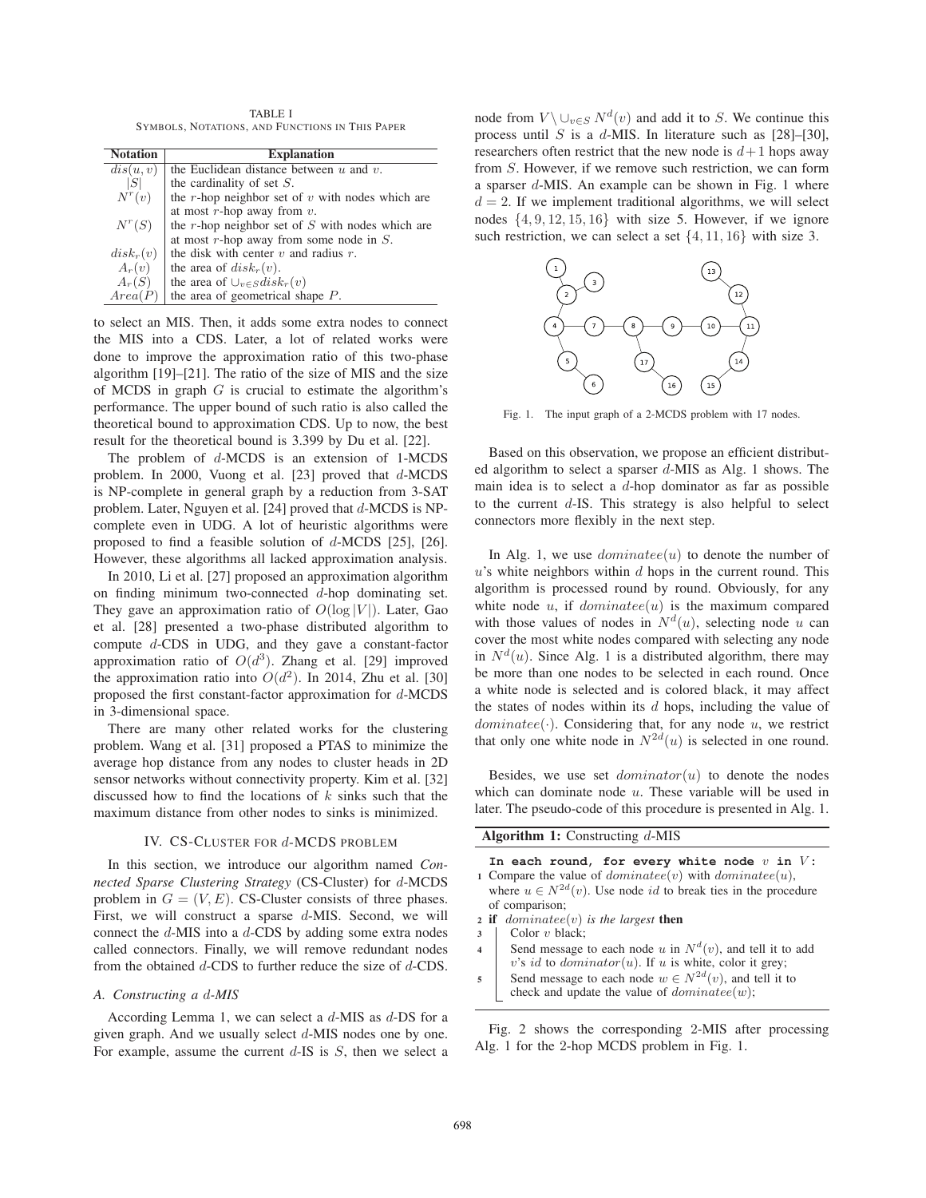TABLE I SYMBOLS, NOTATIONS, AND FUNCTIONS IN THIS PAPER

| <b>Notation</b> | <b>Explanation</b>                                    |
|-----------------|-------------------------------------------------------|
| dis(u, v)       | the Euclidean distance between $u$ and $v$ .          |
| S               | the cardinality of set $S$ .                          |
| $N^r(v)$        | the $r$ -hop neighbor set of $v$ with nodes which are |
|                 | at most $r$ -hop away from $v$ .                      |
| $N^r(S)$        | the $r$ -hop neighbor set of $S$ with nodes which are |
|                 | at most $r$ -hop away from some node in $S$ .         |
| $disk_r(v)$     | the disk with center $v$ and radius $r$ .             |
| $A_r(v)$        | the area of $disk_r(v)$ .                             |
| $A_r(S)$        | the area of $\cup_{v \in S} disk_r(v)$                |
| Area(P)         | the area of geometrical shape $P$ .                   |

to select an MIS. Then, it adds some extra nodes to connect the MIS into a CDS. Later, a lot of related works were done to improve the approximation ratio of this two-phase algorithm [19]–[21]. The ratio of the size of MIS and the size of MCDS in graph  $G$  is crucial to estimate the algorithm's performance. The upper bound of such ratio is also called the theoretical bound to approximation CDS. Up to now, the best result for the theoretical bound is 3.399 by Du et al. [22].

The problem of d-MCDS is an extension of 1-MCDS problem. In 2000, Vuong et al. [23] proved that d-MCDS is NP-complete in general graph by a reduction from 3-SAT problem. Later, Nguyen et al. [24] proved that d-MCDS is NPcomplete even in UDG. A lot of heuristic algorithms were proposed to find a feasible solution of  $d$ -MCDS [25], [26]. However, these algorithms all lacked approximation analysis.

In 2010, Li et al. [27] proposed an approximation algorithm on finding minimum two-connected d-hop dominating set. They gave an approximation ratio of  $O(\log |V|)$ . Later, Gao et al. [28] presented a two-phase distributed algorithm to compute d-CDS in UDG, and they gave a constant-factor approximation ratio of  $O(d^3)$ . Zhang et al. [29] improved the approximation ratio into  $O(d^2)$ . In 2014, Zhu et al. [30] proposed the first constant-factor approximation for d-MCDS in 3-dimensional space.

There are many other related works for the clustering problem. Wang et al. [31] proposed a PTAS to minimize the average hop distance from any nodes to cluster heads in 2D sensor networks without connectivity property. Kim et al. [32] discussed how to find the locations of  $k$  sinks such that the maximum distance from other nodes to sinks is minimized.

#### IV. CS-CLUSTER FOR d-MCDS PROBLEM

In this section, we introduce our algorithm named *Connected Sparse Clustering Strategy* (CS-Cluster) for d-MCDS problem in  $G = (V, E)$ . CS-Cluster consists of three phases. First, we will construct a sparse d-MIS. Second, we will connect the d-MIS into a d-CDS by adding some extra nodes called connectors. Finally, we will remove redundant nodes from the obtained d-CDS to further reduce the size of d-CDS.

## *A. Constructing a* d*-MIS*

According Lemma 1, we can select a  $d$ -MIS as  $d$ -DS for a given graph. And we usually select d-MIS nodes one by one. For example, assume the current  $d$ -IS is  $S$ , then we select a

node from  $V \setminus \bigcup_{v \in S} N^d(v)$  and add it to S. We continue this process until S is a  $d$ -MIS. In literature such as [28]–[30], researchers often restrict that the new node is  $d+1$  hops away from S. However, if we remove such restriction, we can form a sparser d-MIS. An example can be shown in Fig. 1 where  $d = 2$ . If we implement traditional algorithms, we will select nodes  $\{4, 9, 12, 15, 16\}$  with size 5. However, if we ignore such restriction, we can select a set  $\{4, 11, 16\}$  with size 3.



Fig. 1. The input graph of a 2-MCDS problem with 17 nodes.

Based on this observation, we propose an efficient distributed algorithm to select a sparser d-MIS as Alg. 1 shows. The main idea is to select a  $d$ -hop dominator as far as possible to the current  $d$ -IS. This strategy is also helpful to select connectors more flexibly in the next step.

In Alg. 1, we use  $dominatee(u)$  to denote the number of  $u$ 's white neighbors within  $d$  hops in the current round. This algorithm is processed round by round. Obviously, for any white node  $u$ , if  $dominatee(u)$  is the maximum compared with those values of nodes in  $N<sup>d</sup>(u)$ , selecting node u can cover the most white nodes compared with selecting any node in  $N<sup>d</sup>(u)$ . Since Alg. 1 is a distributed algorithm, there may be more than one nodes to be selected in each round. Once a white node is selected and is colored black, it may affect the states of nodes within its  $d$  hops, including the value of  $dominatee(\cdot)$ . Considering that, for any node u, we restrict that only one white node in  $N^{2d}(u)$  is selected in one round.

Besides, we use set  $dominator(u)$  to denote the nodes which can dominate node  $u$ . These variable will be used in later. The pseudo-code of this procedure is presented in Alg. 1.

Algorithm 1: Constructing d-MIS

|                         | In each round, for every white node $v$ in $V$ :<br>1 Compare the value of $dominate(v)$ with $dominate(u)$ ,<br>where $u \in N^{2d}(v)$ . Use node <i>id</i> to break ties in the procedure |  |
|-------------------------|----------------------------------------------------------------------------------------------------------------------------------------------------------------------------------------------|--|
| $\overline{\mathbf{3}}$ | of comparison;<br><b>2</b> if dominateg(v) is the largest then<br>Color $v$ black;                                                                                                           |  |
| $\overline{4}$          | Send message to each node u in $N^d(v)$ , and tell it to add                                                                                                                                 |  |
| 5.                      | v's id to $dominator(u)$ . If u is white, color it grey;<br>Send message to each node $w \in N^{2d}(v)$ , and tell it to<br>check and update the value of $dominatee(w)$ ;                   |  |

Fig. 2 shows the corresponding 2-MIS after processing Alg. 1 for the 2-hop MCDS problem in Fig. 1.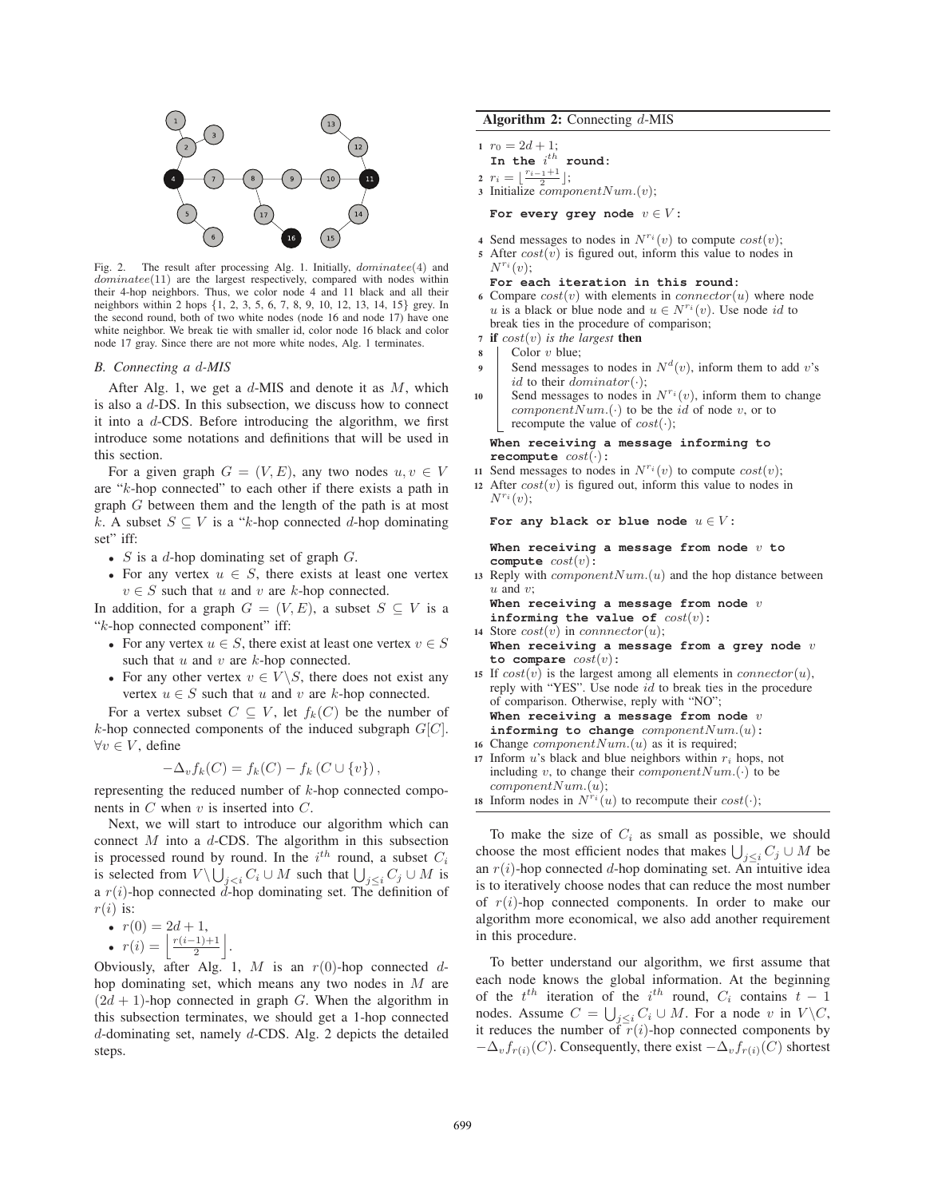

Fig. 2. The result after processing Alg. 1. Initially, dominatee(4) and dominatee(11) are the largest respectively, compared with nodes within their 4-hop neighbors. Thus, we color node 4 and 11 black and all their neighbors within 2 hops {1, 2, 3, 5, 6, 7, 8, 9, 10, 12, 13, 14, 15} grey. In the second round, both of two white nodes (node 16 and node 17) have one white neighbor. We break tie with smaller id, color node 16 black and color node 17 gray. Since there are not more white nodes, Alg. 1 terminates.

#### *B. Connecting a* d*-MIS*

After Alg. 1, we get a  $d$ -MIS and denote it as  $M$ , which is also a  $d$ -DS. In this subsection, we discuss how to connect it into a d-CDS. Before introducing the algorithm, we first introduce some notations and definitions that will be used in this section.

For a given graph  $G = (V, E)$ , any two nodes  $u, v \in V$ are "k-hop connected" to each other if there exists a path in graph G between them and the length of the path is at most k. A subset  $S \subseteq V$  is a "k-hop connected d-hop dominating set" iff:

- $S$  is a d-hop dominating set of graph  $G$ .
- For any vertex  $u \in S$ , there exists at least one vertex  $v \in S$  such that u and v are k-hop connected.

In addition, for a graph  $G = (V, E)$ , a subset  $S \subseteq V$  is a "k-hop connected component" iff:

- For any vertex  $u \in S$ , there exist at least one vertex  $v \in S$ such that  $u$  and  $v$  are  $k$ -hop connected.
- For any other vertex  $v \in V \backslash S$ , there does not exist any vertex  $u \in S$  such that u and v are k-hop connected.

For a vertex subset  $C \subseteq V$ , let  $f_k(C)$  be the number of k-hop connected components of the induced subgraph  $G[C]$ .  $\forall v \in V$ , define

$$
-\Delta_v f_k(C) = f_k(C) - f_k(C \cup \{v\}),
$$

 $-\Delta_v f_k(C) = f_k(C) - f_k(C \cup \{v\}),$ <br>representing the reduced number of k-hop connected components in  $C$  when  $v$  is inserted into  $C$ .

Next, we will start to introduce our algorithm which can connect  $M$  into a  $d$ -CDS. The algorithm in this subsection is processed round by round. In the  $i^{th}$  round, a subset  $C_i$ is selected from  $V \setminus \bigcup_{j \leq i} C_i \cup M$  such that  $\bigcup_{j \leq i} C_j \cup M$  is a  $r(i)$ -hop connected  $\ddot{d}$ -hop dominating set. The definition of  $r(i)$  is:

-  $r(0) = 2d + 1$ ,

$$
\bullet \ \ r(i) = \left\lfloor \frac{r(i-1)+1}{2} \right\rfloor
$$

Obviously, after Alg. 1, M is an  $r(0)$ -hop connected d-<br>hop dominating set which means any two nodes in M are hop dominating set, which means any two nodes in M are  $(2d + 1)$ -hop connected in graph G. When the algorithm in this subsection terminates, we should get a 1-hop connected d-dominating set, namely d-CDS. Alg. 2 depicts the detailed steps.

.

## Algorithm 2: Connecting  $d$ -MIS

```
1 r_0 = 2d + 1;
```

```
In the i^{th} round:
```

```
2 r_i = \lfloor \frac{r_{i-1}+1}{2} \rfloor;
```

```
3 Initialize \overline{componentNum}(v);
```
For every grey node  $v \in V$ :

- 4 Send messages to nodes in  $N^{r_i}(v)$  to compute  $cost(v)$ ;
- 5 After  $cost(v)$  is figured out, inform this value to nodes in  $N^{r_i}(v);$

```
For each iteration in this round:
```
- 6 Compare  $cost(v)$  with elements in *connector* $(u)$  where node u is a black or blue node and  $u \in N^{r_i}(v)$ . Use node id to break ties in the procedure of comparison;
- <sup>7</sup> if cost(v) *is the largest* then
- $\vert$  Color *v* blue;
- 9 Send messages to nodes in  $N<sup>d</sup>(v)$ , inform them to add v's *id* to their *dominator*( $\cdot$ );
- 10 Send messages to nodes in  $N^{r_i}(v)$ , inform them to change *component Num.* ( $\cdot$ ) to be the *id* of node *v*, or to recompute the value of  $cost(\cdot)$ ;

#### **When receiving a message informing to recompute** cost(·)**:**

- 11 Send messages to nodes in  $N^{r_i}(v)$  to compute  $cost(v)$ ;
- 12 After  $cost(v)$  is figured out, inform this value to nodes in  $N^{r_i}(v)$ :

```
For any black or blue node u \in V:
```
**When receiving a message from node** v **to compute** cost(v)**:**

13 Reply with  $componentNum.(u)$  and the hop distance between  $u$  and  $v$ ;

**When receiving a message from node** v

- **informing the value of** cost(v)**:** 14 Store  $cost(v)$  in *connnector(u)*; **When receiving a message from a grey node** v **to compare** cost(v)**:**
- 15 If  $cost(v)$  is the largest among all elements in *connector*(*u*), reply with "YES". Use node id to break ties in the procedure of comparison. Otherwise, reply with "NO"; **When receiving a message from node** v **informing to change** componentNum.(u)**:**
- 16 Change *component Num*. (*u*) as it is required;
- 17 Inform  $u$ 's black and blue neighbors within  $r_i$  hops, not including v, to change their  $componentNum.(\cdot)$  to be  $componentNum.(u);$
- 18 Inform nodes in  $N^{r_i}(u)$  to recompute their  $cost(\cdot);$

To make the size of  $C_i$  as small as possible, we should choose the most efficient nodes that makes  $\bigcup_{j\leq i} C_j \cup M$  be an  $r(i)$ -hop connected d-hop dominating set. An intuitive idea is to iteratively choose nodes that can reduce the most number of  $r(i)$ -hop connected components. In order to make our algorithm more economical, we also add another requirement in this procedure.

To better understand our algorithm, we first assume that each node knows the global information. At the beginning of the  $t^{th}$  iteration of the  $i^{th}$  round,  $C_i$  contains  $t - 1$ <br>nodes Assume  $C = 1 - C + M$  For a node v in  $V \setminus C$ nodes. Assume  $C = \bigcup_{j \leq i} C_i \cup M$ . For a node v in  $V \backslash C$ ,<br>it reduces the number of  $r(i)$ -hon connected components by it reduces the number of  $r(i)$ -hop connected components by  $-\Delta_v f_{r(i)}(C)$ . Consequently, there exist  $-\Delta_v f_{r(i)}(C)$  shortest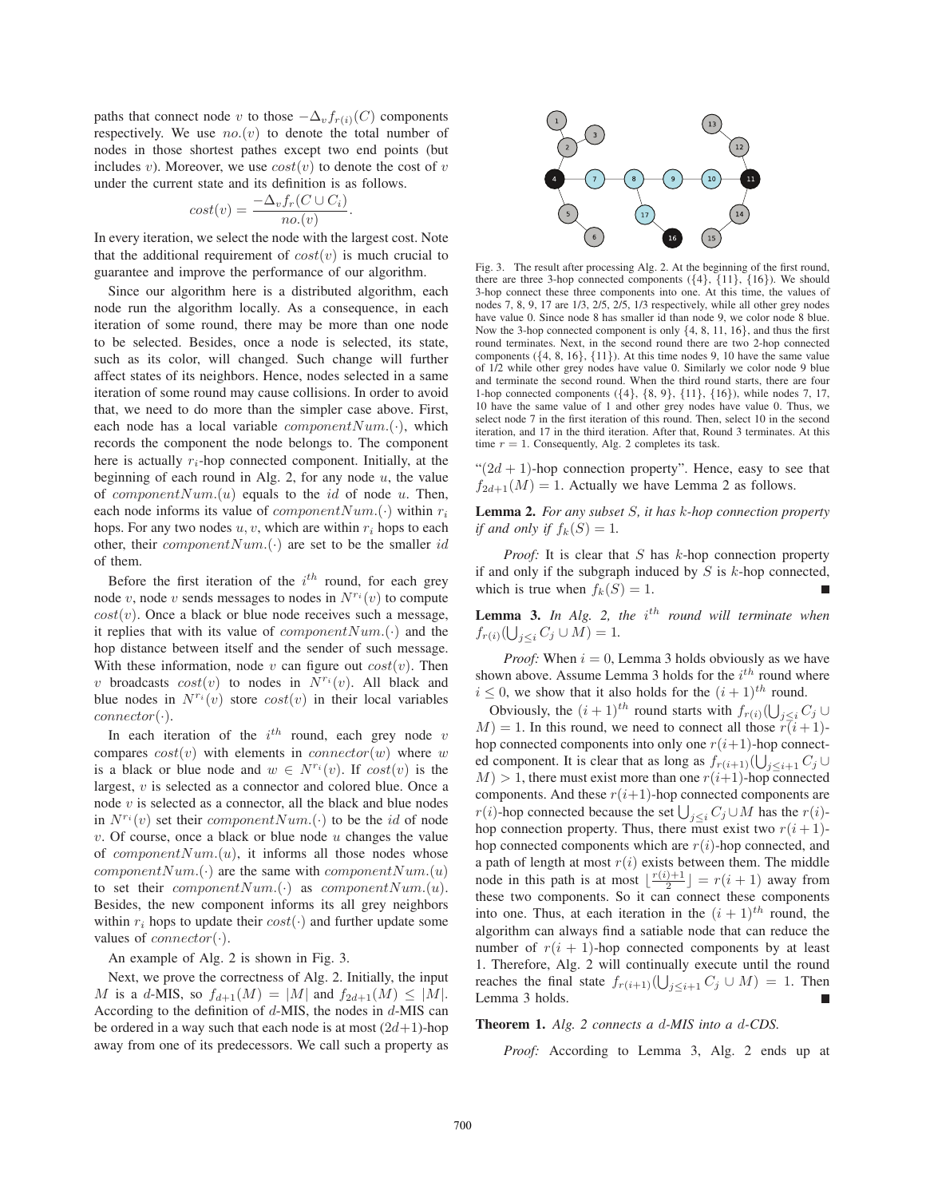paths that connect node v to those  $-\Delta_v f_{r(i)}(C)$  components respectively. We use  $no.(v)$  to denote the total number of nodes in those shortest pathes except two end points (but includes v). Moreover, we use  $cost(v)$  to denote the cost of v under the current state and its definition is as follows.

$$
cost(v) = \frac{-\Delta_v f_r(C \cup C_i)}{no(v)}.
$$
  
In every iteration, we select the node with the largest cost. Note

that the additional requirement of  $cost(v)$  is much crucial to guarantee and improve the performance of our algorithm.

Since our algorithm here is a distributed algorithm, each node run the algorithm locally. As a consequence, in each iteration of some round, there may be more than one node to be selected. Besides, once a node is selected, its state, such as its color, will changed. Such change will further affect states of its neighbors. Hence, nodes selected in a same iteration of some round may cause collisions. In order to avoid that, we need to do more than the simpler case above. First, each node has a local variable  $componentNum.(\cdot)$ , which records the component the node belongs to. The component here is actually  $r_i$ -hop connected component. Initially, at the beginning of each round in Alg. 2, for any node  $u$ , the value of  $componentNum.(u)$  equals to the *id* of node u. Then, each node informs its value of  $componentNum.(\cdot)$  within  $r_i$ hops. For any two nodes  $u, v$ , which are within  $r_i$  hops to each other, their *componentNum*. $(\cdot)$  are set to be the smaller *id* of them.

Before the first iteration of the  $i^{th}$  round, for each grey node v, node v sends messages to nodes in  $N^{r_i}(v)$  to compute  $cost(v)$ . Once a black or blue node receives such a message, it replies that with its value of  $componentNum.(\cdot)$  and the hop distance between itself and the sender of such message. With these information, node  $v$  can figure out  $cost(v)$ . Then v broadcasts  $cost(v)$  to nodes in  $N^{r_i}(v)$ . All black and blue nodes in  $N^{r_i}(v)$  store  $cost(v)$  in their local variables  $connector(\cdot)$ .

In each iteration of the  $i^{th}$  round, each grey node v compares  $cost(v)$  with elements in *connector* $(w)$  where w is a black or blue node and  $w \in N^{r_i}(v)$ . If  $cost(v)$  is the largest, v is selected as a connector and colored blue. Once a node  $v$  is selected as a connector, all the black and blue nodes in  $N^{r_i}(v)$  set their *component Num*. (.) to be the *id* of node  $v$ . Of course, once a black or blue node  $u$  changes the value of *componentNum.* $(u)$ , it informs all those nodes whose  $componentNum.(\cdot)$  are the same with  $componentNum.(\nu)$ to set their  $componentNum.(\cdot)$  as  $componentNum.(\nu)$ . Besides, the new component informs its all grey neighbors within  $r_i$  hops to update their  $cost(\cdot)$  and further update some values of *connector* $(\cdot)$ .

An example of Alg. 2 is shown in Fig. 3.

Next, we prove the correctness of Alg. 2. Initially, the input M is a d-MIS, so  $f_{d+1}(M) = |M|$  and  $f_{2d+1}(M) \leq |M|$ . According to the definition of  $d$ -MIS, the nodes in  $d$ -MIS can be ordered in a way such that each node is at most  $(2d+1)$ -hop away from one of its predecessors. We call such a property as



Fig. 3. The result after processing Alg. 2. At the beginning of the first round, there are three 3-hop connected components ({4}, {11}, {16}). We should 3-hop connect these three components into one. At this time, the values of nodes 7, 8, 9, 17 are 1/3, 2/5, 2/5, 1/3 respectively, while all other grey nodes have value 0. Since node 8 has smaller id than node 9, we color node 8 blue. Now the 3-hop connected component is only {4, 8, 11, 16}, and thus the first round terminates. Next, in the second round there are two 2-hop connected components  $({4, 8, 16}, {11})$ . At this time nodes 9, 10 have the same value of 1/2 while other grey nodes have value 0. Similarly we color node 9 blue and terminate the second round. When the third round starts, there are four 1-hop connected components ({4}, {8, 9}, {11}, {16}), while nodes 7, 17, 10 have the same value of 1 and other grey nodes have value 0. Thus, we select node 7 in the first iteration of this round. Then, select 10 in the second iteration, and 17 in the third iteration. After that, Round 3 terminates. At this time  $r = 1$ . Consequently, Alg. 2 completes its task.

" $(2d + 1)$ -hop connection property". Hence, easy to see that  $f_{2d+1}(M)=1$ . Actually we have Lemma 2 as follows.

Lemma 2. *For any subset* S*, it has* k*-hop connection property if and only if*  $f_k(S)=1$ .

*Proof:* It is clear that S has k-hop connection property if and only if the subgraph induced by  $S$  is  $k$ -hop connected, which is true when  $f_k(S)=1$ .

**Lemma 3.** In Alg. 2, the i<sup>th</sup> round will terminate when  $f_{r(i)}(\bigcup_{j\leq i} C_j \cup M) = 1.$ 

*Proof:* When  $i = 0$ , Lemma 3 holds obviously as we have shown above. Assume Lemma 3 holds for the  $i^{th}$  round where  $i \leq 0$ , we show that it also holds for the  $(i + 1)^{th}$  round.

Obviously, the  $(i + 1)^{th}$  round starts with  $f_{r(i)}(\bigcup_{j \leq i} C_j \cup (-1, 1))$  $M$ ) = 1. In this round, we need to connect all those  $r(i + 1)$ hop connected components into only one  $r(i+1)$ -hop connected component. It is clear that as long as  $f_{r(i+1)}(\bigcup_{j \leq i+1} C_j \cup M) > 1$  there must exist more than one  $r(i+1)$ -bon connected  $M$ ) > 1, there must exist more than one  $r(i+1)$ -hop connected components. And these  $r(i+1)$ -hop connected components are r(i)-hop connected because the set  $\bigcup_{j\leq i} C_j \cup M$  has the r(i)-<br>hop connection property. Thus, there must exist two r(i+1)hop connection property. Thus, there must exist two  $r(i + 1)$ hop connected components which are  $r(i)$ -hop connected, and a path of length at most  $r(i)$  exists between them. The middle node in this path is at most  $\lfloor \frac{r(i)+1}{2} \rfloor = r(i+1)$  away from<br>these two components. So it can connect these components these two components. So it can connect these components into one. Thus, at each iteration in the  $(i + 1)^{th}$  round, the algorithm can always find a satiable node that can reduce the number of  $r(i + 1)$ -hop connected components by at least 1. Therefore, Alg. 2 will continually execute until the round reaches the final state  $f_{r(i+1)}(\bigcup_{j\leq i+1} C_j \cup M)=1$ . Then Lemma 3 holds.

## Theorem 1. *Alg. 2 connects a* d*-MIS into a* d*-CDS.*

*Proof:* According to Lemma 3, Alg. 2 ends up at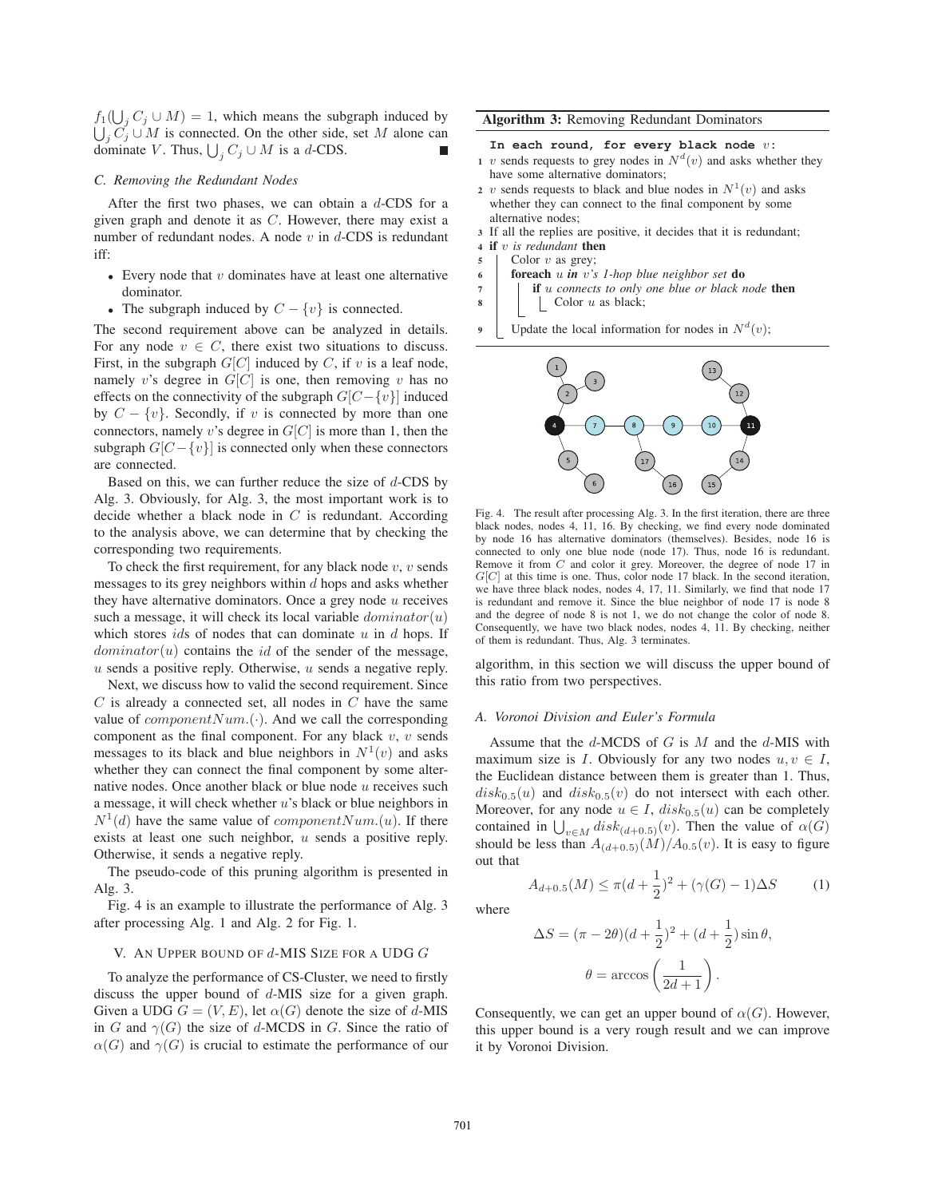$f_1(\bigcup_j C_j \cup M) = 1$ , which means the subgraph induced by<br> $\bigcup_{j=1}^n C_j \cup M$  is connected. On the other side, set M alone can  $\bigcup_{j} C'_j \cup M$  is connected. On the other side, set M alone can dominate V. Thus,  $\bigcup_i C_j \cup M$  is a d-CDS.

## *C. Removing the Redundant Nodes*

After the first two phases, we can obtain a  $d$ -CDS for a given graph and denote it as C. However, there may exist a number of redundant nodes. A node  $v$  in  $d$ -CDS is redundant iff:

- Every node that  $v$  dominates have at least one alternative dominator.
- The subgraph induced by  $C \{v\}$  is connected.

The second requirement above can be analyzed in details. For any node  $v \in C$ , there exist two situations to discuss. First, in the subgraph  $G[C]$  induced by C, if v is a leaf node, namely v's degree in  $G[C]$  is one, then removing v has no effects on the connectivity of the subgraph  $G[C-\{v\}]$  induced by  $C - \{v\}$ . Secondly, if v is connected by more than one connectors, namely v's degree in  $G[C]$  is more than 1, then the subgraph  $G[C - \{v\}]$  is connected only when these connectors are connected.

Based on this, we can further reduce the size of  $d$ -CDS by Alg. 3. Obviously, for Alg. 3, the most important work is to decide whether a black node in  $C$  is redundant. According to the analysis above, we can determine that by checking the corresponding two requirements.

To check the first requirement, for any black node  $v, v$  sends messages to its grey neighbors within d hops and asks whether they have alternative dominators. Once a grey node  $u$  receives such a message, it will check its local variable  $dominator(u)$ which stores *ids* of nodes that can dominate  $u$  in  $d$  hops. If  $dominator(u)$  contains the *id* of the sender of the message,  $u$  sends a positive reply. Otherwise,  $u$  sends a negative reply.

Next, we discuss how to valid the second requirement. Since  $C$  is already a connected set, all nodes in  $C$  have the same value of  $componentNum.(\cdot)$ . And we call the corresponding component as the final component. For any black  $v, v$  sends messages to its black and blue neighbors in  $N^1(v)$  and asks whether they can connect the final component by some alternative nodes. Once another black or blue node u receives such a message, it will check whether u's black or blue neighbors in  $N^1(d)$  have the same value of *component Num.*(u). If there exists at least one such neighbor u sends a positive reply exists at least one such neighbor, u sends a positive reply. Otherwise, it sends a negative reply.

The pseudo-code of this pruning algorithm is presented in Alg. 3.

Fig. 4 is an example to illustrate the performance of Alg. 3 after processing Alg. 1 and Alg. 2 for Fig. 1.

#### V. AN UPPER BOUND OF  $d$ -MIS SIZE FOR A UDG  $G$

To analyze the performance of CS-Cluster, we need to firstly discuss the upper bound of d-MIS size for a given graph. Given a UDG  $G = (V, E)$ , let  $\alpha(G)$  denote the size of d-MIS in G and  $\gamma(G)$  the size of d-MCDS in G. Since the ratio of  $\alpha(G)$  and  $\gamma(G)$  is crucial to estimate the performance of our Algorithm 3: Removing Redundant Dominators

- **In each round, for every black node** v**:**
- 1 v sends requests to grey nodes in  $N<sup>d</sup>(v)$  and asks whether they have some alternative dominators;
- 2 v sends requests to black and blue nodes in  $N^1(v)$  and asks whether they can connect to the final component by some alternative nodes;
- <sup>3</sup> If all the replies are positive, it decides that it is redundant;
- <sup>4</sup> if v *is redundant* then
- $5 \mid$  Color v as grev:
- <sup>6</sup> foreach u *in* v*'s 1-hop blue neighbor set* do
- if u connects to only one blue or black node then  $\left| \right|$  | Color u as black;

9 | Update the local information for nodes in  $N<sup>d</sup>(v)$ ;



Fig. 4. The result after processing Alg. 3. In the first iteration, there are three black nodes, nodes 4, 11, 16. By checking, we find every node dominated by node 16 has alternative dominators (themselves). Besides, node 16 is connected to only one blue node (node 17). Thus, node 16 is redundant. Remove it from C and color it grey. Moreover, the degree of node 17 in  $G[C]$  at this time is one. Thus, color node 17 black. In the second iteration, we have three black nodes, nodes 4, 17, 11. Similarly, we find that node 17 is redundant and remove it. Since the blue neighbor of node 17 is node 8 and the degree of node 8 is not 1, we do not change the color of node 8. Consequently, we have two black nodes, nodes 4, 11. By checking, neither of them is redundant. Thus, Alg. 3 terminates.

algorithm, in this section we will discuss the upper bound of this ratio from two perspectives.

#### *A. Voronoi Division and Euler's Formula*

Assume that the  $d$ -MCDS of  $G$  is  $M$  and the  $d$ -MIS with maximum size is I. Obviously for any two nodes  $u, v \in I$ , the Euclidean distance between them is greater than 1. Thus,  $disk_{0.5}(u)$  and  $disk_{0.5}(v)$  do not intersect with each other. Moreover, for any node  $u \in I$ ,  $disk_{0.5}(u)$  can be completely contained in  $\bigcup_{v \in M} dist_{(d+0.5)}(v)$ . Then the value of  $\alpha(G)$ <br>should be less than  $A_{(1,1,2,2)}(M)/A_{(2,2)}(v)$ . It is easy to figure should be less than  $A_{(d+0.5)}(M)/A_{0.5}(v)$ . It is easy to figure out that

where

$$
A_{d+0.5}(M) \le \pi (d + \frac{1}{2})^2 + (\gamma(G) - 1)\Delta S \tag{1}
$$

$$
\Delta S = (\pi - 2\theta)(d + \frac{1}{2})^2 + (d + \frac{1}{2})\sin \theta,
$$

$$
\theta = \arccos\left(\frac{1}{2d + 1}\right).
$$

Consequently, we can get an upper bound of  $\alpha(G)$ . However, this upper bound is a very rough result and we can improve it by Voronoi Division.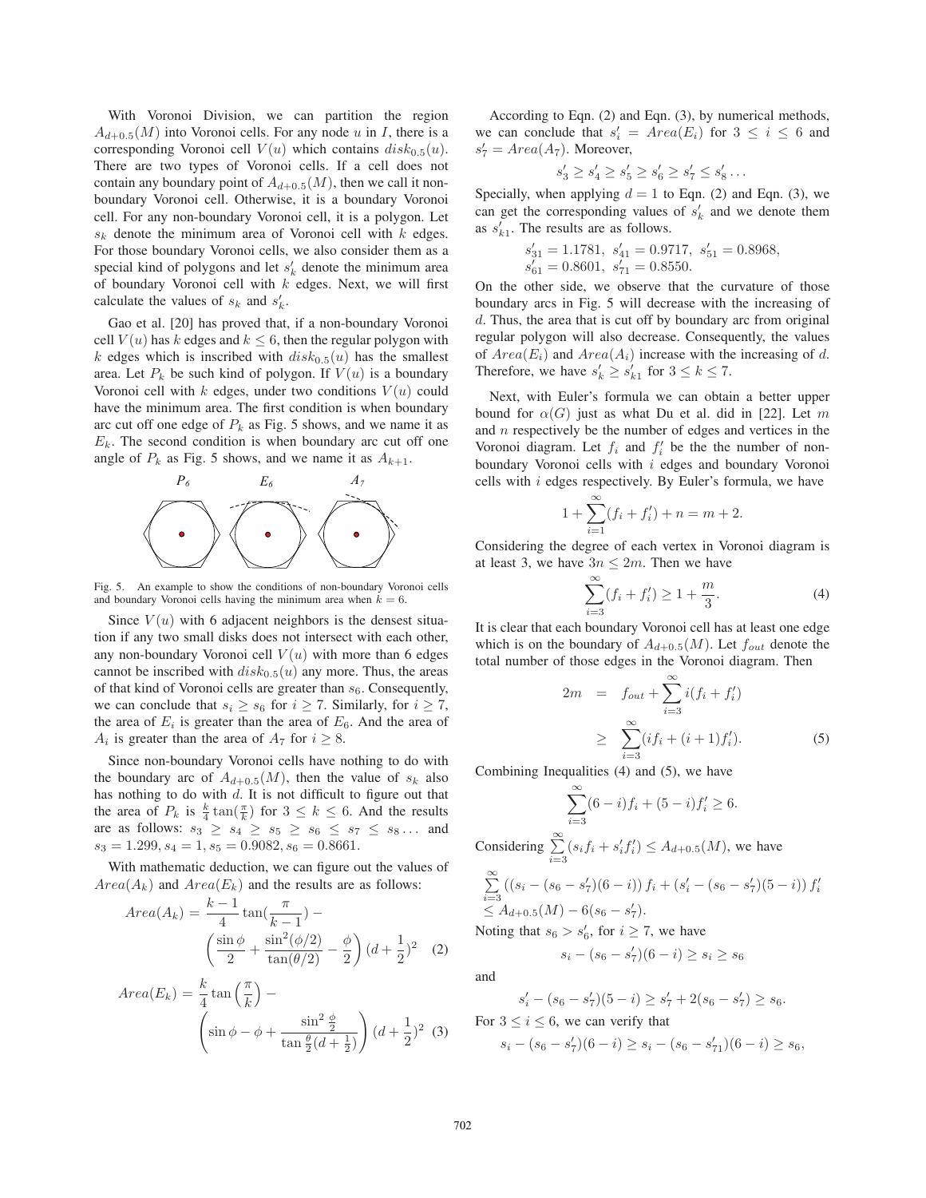With Voronoi Division, we can partition the region  $A_{d+0.5}(M)$  into Voronoi cells. For any node u in I, there is a corresponding Voronoi cell  $V(u)$  which contains  $disk_{0.5}(u)$ . There are two types of Voronoi cells. If a cell does not contain any boundary point of  $A_{d+0.5}(M)$ , then we call it nonboundary Voronoi cell. Otherwise, it is a boundary Voronoi cell. For any non-boundary Voronoi cell, it is a polygon. Let  $s_k$  denote the minimum area of Voronoi cell with  $k$  edges. For those boundary Voronoi cells, we also consider them as a special kind of polygons and let  $s'_{k}$  denote the minimum area of boundary Voronoi cell with  $k$  edges. Next, we will first calculate the values of  $s_k$  and  $s'_k$ .

Gao et al. [20] has proved that, if a non-boundary Voronoi cell  $V(u)$  has k edges and  $k \leq 6$ , then the regular polygon with k edges which is inscribed with  $disk_{0.5}(u)$  has the smallest area. Let  $P_k$  be such kind of polygon. If  $V(u)$  is a boundary Voronoi cell with  $k$  edges, under two conditions  $V(u)$  could have the minimum area. The first condition is when boundary arc cut off one edge of  $P_k$  as Fig. 5 shows, and we name it as  $E<sub>k</sub>$ . The second condition is when boundary arc cut off one angle of  $P_k$  as Fig. 5 shows, and we name it as  $A_{k+1}$ .



Fig. 5. An example to show the conditions of non-boundary Voronoi cells and boundary Voronoi cells having the minimum area when  $k = 6$ .

Since  $V(u)$  with 6 adjacent neighbors is the densest situation if any two small disks does not intersect with each other, any non-boundary Voronoi cell  $V(u)$  with more than 6 edges cannot be inscribed with  $disk_{0.5}(u)$  any more. Thus, the areas of that kind of Voronoi cells are greater than  $s<sub>6</sub>$ . Consequently, we can conclude that  $s_i \geq s_6$  for  $i \geq 7$ . Similarly, for  $i \geq 7$ , the area of  $E_i$  is greater than the area of  $E_6$ . And the area of  $A_i$  is greater than the area of  $A_7$  for  $i \geq 8$ .

Since non-boundary Voronoi cells have nothing to do with the boundary arc of  $A_{d+0.5}(M)$ , then the value of  $s_k$  also has nothing to do with d. It is not difficult to figure out that the area of  $P_k$  is  $\frac{k}{4} \tan(\frac{\pi}{k})$  for  $3 \le k \le 6$ . And the results are as follows:  $s_3 \geq s_4 \geq s_5 \geq s_6 \leq s_7 \leq s_8 \dots$  and  $s_3 = 1.299, s_4 = 1, s_5 = 0.9082, s_6 = 0.8661.$ 

With mathematic deduction, we can figure out the values of  $Area(A_k)$  and  $Area(E_k)$  and the results are as follows:

$$
Area(A_k) = \frac{k-1}{4} \tan(\frac{\pi}{k-1}) -
$$

$$
\left(\frac{\sin \phi}{2} + \frac{\sin^2(\phi/2)}{\tan(\theta/2)} - \frac{\phi}{2}\right) (d + \frac{1}{2})^2 \quad (2)
$$

$$
Area(E_k) = \frac{k}{4} \tan\left(\frac{\pi}{k}\right) - \left(\sin\phi - \phi + \frac{\sin^2\frac{\phi}{2}}{\tan\frac{\theta}{2}(d+\frac{1}{2})}\right)(d+\frac{1}{2})^2
$$
 (3)

According to Eqn. (2) and Eqn. (3), by numerical methods, we can conclude that  $s'_i = \text{Area}(E_i)$  for  $3 \leq i \leq 6$  and  $s'_i = \text{Area}(A_i)$ . Moreover  $s'_7 = Area(A_7)$ . Moreover,

$$
s_3' \geq s_4' \geq s_5' \geq s_6' \geq s_7' \leq s_8' \dots
$$

Specially, when applying  $d = 1$  to Eqn. (2) and Eqn. (3), we can get the corresponding values of  $s'_{k}$  and we denote them as  $s'_{k1}$ . The results are as follows.

$$
s'_{31} = 1.1781
$$
,  $s'_{41} = 0.9717$ ,  $s'_{51} = 0.8968$ ,  
 $s'_{61} = 0.8601$ ,  $s'_{71} = 0.8550$ .

 $s_{61}^{\prime} = 0.8601$ ,  $s_{71}^{\prime} = 0.8550$ .<br>On the other side, we observe that the curvature of those boundary arcs in Fig. 5 will decrease with the increasing of d. Thus, the area that is cut off by boundary arc from original regular polygon will also decrease. Consequently, the values of  $Area(E_i)$  and  $Area(A_i)$  increase with the increasing of d. Therefore, we have  $s'_k \geq s'_{k1}$  for  $3 \leq k \leq 7$ .

Next, with Euler's formula we can obtain a better upper bound for  $\alpha(G)$  just as what Du et al. did in [22]. Let m and n respectively be the number of edges and vertices in the Voronoi diagram. Let  $f_i$  and  $f'_i$  be the the number of nonboundary Voronoi cells with  $i$  edges and boundary Voronoi cells with  $i$  edges respectively. By Euler's formula, we have

$$
1 + \sum_{i=1}^{\infty} (f_i + f'_i) + n = m + 2.
$$

Considering the degree of each vertex in Voronoi diagram is at least 3, we have  $3n \leq 2m$ . Then we have

$$
\sum_{i=3}^{\infty} (f_i + f'_i) \ge 1 + \frac{m}{3}.
$$
 (4)

It is clear that each boundary Voronoi cell has at least one edge which is on the boundary of  $A_{d+0.5}(M)$ . Let  $f_{out}$  denote the total number of those edges in the Voronoi diagram. Then

$$
2m = f_{out} + \sum_{i=3}^{\infty} i(f_i + f'_i)
$$
  
\n
$$
\geq \sum_{i=3}^{\infty} (if_i + (i+1)f'_i).
$$
 (5)

Combining Inequalities (4) and (5), we have

$$
\sum_{i=3}^{\infty} (6-i) f_i + (5-i) f'_i \ge 6.
$$

Considering 
$$
\sum_{i=3}^{\infty} (s_i f_i + s'_i f'_i) \leq A_{d+0.5}(M)
$$
, we have  
\n
$$
\sum_{i=3}^{\infty} ((s_i - (s_6 - s'_7)(6 - i)) f_i + (s'_i - (s_6 - s'_7)(5 - i)) f'_i
$$
\n
$$
\leq A_{d+0.5}(M) - 6(s_6 - s'_7).
$$
\nNoting that  $s_6 > s'_6$ , for  $i \geq 7$ , we have

 $s_i - (s_6 - s'_7)(6 - i) \ge s_i \ge s_6$ 

and

$$
s'_i - (s_6 - s'_7)(5 - i) \ge s'_7 + 2(s_6 - s'_7) \ge s_6.
$$
  
For  $3 \le i \le 6$ , we can verify that

$$
s_i - (s_6 - s'_7)(6 - i) \ge s_i - (s_6 - s'_{71})(6 - i) \ge s_6,
$$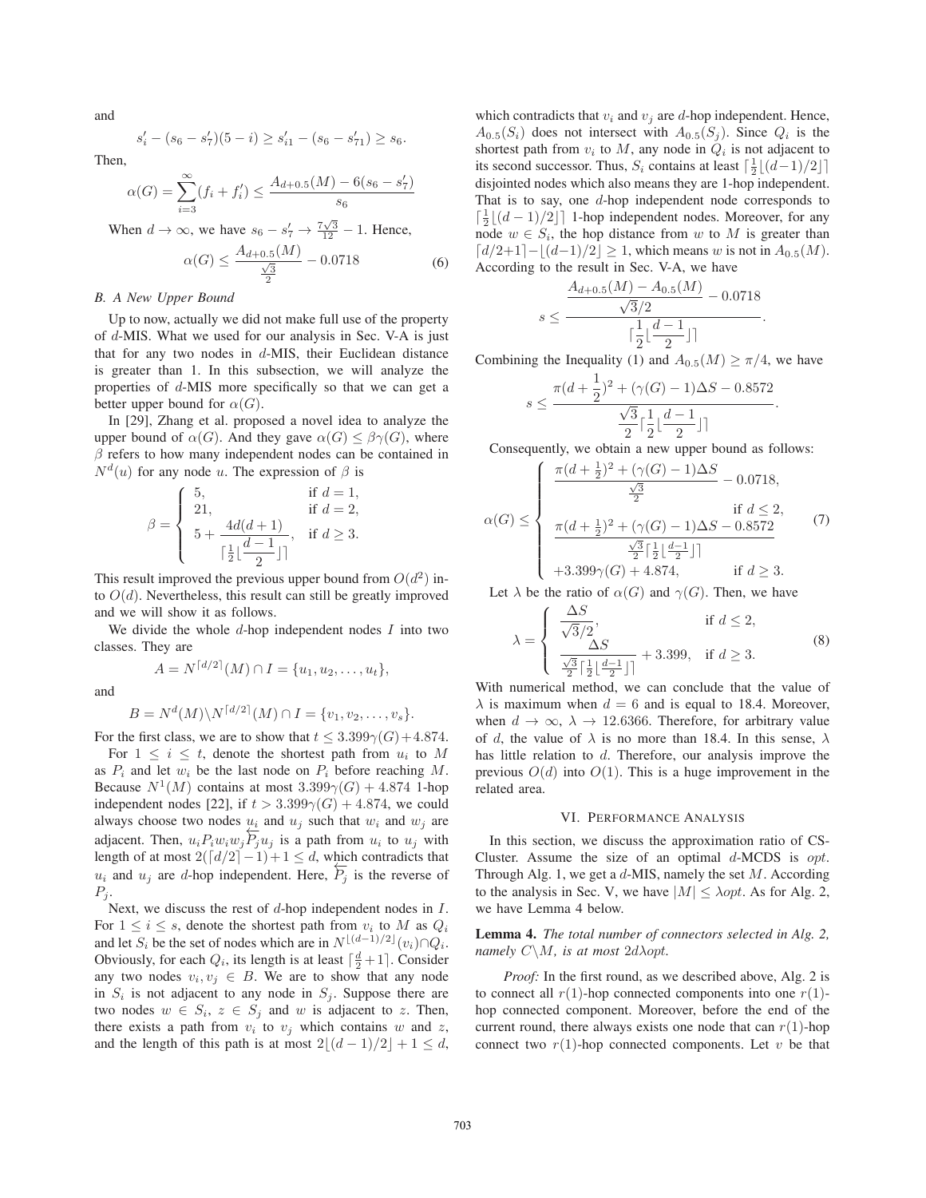and

$$
s'_{i} - (s_{6} - s'_{7})(5 - i) \geq s'_{i1} - (s_{6} - s'_{71}) \geq s_{6}.
$$

Then,

$$
\alpha(G) = \sum_{i=3}^{\infty} (f_i + f'_i) \le \frac{A_{d+0.5}(M) - 6(s_6 - s'_7)}{s_6}
$$

When  $d \to \infty$ , we have  $s_6 - s'_7 \to \frac{7\sqrt{3}}{12} - 1$ . Hence,

$$
\alpha(G) \le \frac{A_{d+0.5}(M)}{\frac{\sqrt{3}}{2}} - 0.0718\tag{6}
$$

## *B. A New Upper Bound*

Up to now, actually we did not make full use of the property of d-MIS. What we used for our analysis in Sec. V-A is just that for any two nodes in  $d$ -MIS, their Euclidean distance is greater than 1. In this subsection, we will analyze the properties of d-MIS more specifically so that we can get a better upper bound for  $\alpha(G)$ .

In [29], Zhang et al. proposed a novel idea to analyze the upper bound of  $\alpha(G)$ . And they gave  $\alpha(G) \leq \beta \gamma(G)$ , where  $\beta$  refers to how many independent nodes can be contained in  $N<sup>d</sup>(u)$  for any node u. The expression of  $\beta$  is

$$
\beta = \begin{cases}\n5, & \text{if } d = 1, \\
21, & \text{if } d = 2, \\
5 + \frac{4d(d+1)}{\lceil \frac{1}{2} \lfloor \frac{d-1}{2} \rfloor \rceil}, & \text{if } d \ge 3.\n\end{cases}
$$
\nIt improved the previous upper bound

This result improved the previous upper bound from  $O(d^2)$  in-<br>to  $O(d)$ . Nevertheless, this result can still be greatly improved to  $O(d)$ . Nevertheless, this result can still be greatly improved and we will show it as follows.

We divide the whole  $d$ -hop independent nodes  $I$  into two classes. They are

$$
A = N^{\lceil d/2 \rceil}(M) \cap I = \{u_1, u_2, \dots, u_t\},\
$$

and

$$
B = N^{d}(M) \backslash N^{\lceil d/2 \rceil}(M) \cap I = \{v_1, v_2, \dots, v_s\}.
$$

For the first class, we are to show that  $t \leq 3.399\gamma(G) + 4.874$ .<br>For  $1 \leq i \leq t$  denote the shortest path from  $u_i$  to M

For  $1 \leq i \leq t$ , denote the shortest path from  $u_i$  to M as  $P_i$  and let  $w_i$  be the last node on  $P_i$  before reaching M. Because  $N^1(M)$  contains at most  $3.399\gamma(G) + 4.874$  1-hop independent nodes [22], if  $t > 3.399\gamma(G) + 4.874$ , we could always choose two nodes  $u_i$  and  $u_j$  such that  $w_i$  and  $w_j$  are adjacent. Then,  $u_i P_i w_i w_j \overline{P_j} u_j$  is a path from  $u_i$  to  $u_j$  with length of at most  $2([d/2]-1)+1 \leq d$ , which contradicts that u<sub>i</sub> and u<sub>j</sub> are d-hop independent. Here,  $\overline{P_j}$  is the reverse of  $P_j$ .

Next, we discuss the rest of d-hop independent nodes in  $I$ . For  $1 \le i \le s$ , denote the shortest path from  $v_i$  to M as  $Q_i$ and let  $S_i$  be the set of nodes which are in  $N^{\lfloor (d-1)/2 \rfloor}(v_i) \cap Q_i$ .<br>Obviously for each  $Q_i$  its length is at least  $\lceil \frac{d}{2} + 1 \rceil$  Consider Obviously, for each  $Q_i$ , its length is at least  $\lceil \frac{d}{2} + 1 \rceil$ . Consider any two nodes  $v_i, v_j \in R$ . We are to show that any node any two nodes  $v_i, v_j \in B$ . We are to show that any node in  $S_i$  is not adjacent to any node in  $S_i$ . Suppose there are two nodes  $w \in S_i$ ,  $z \in S_j$  and w is adjacent to z. Then, there exists a path from  $v_i$  to  $v_j$  which contains w and z, and the length of this path is at most  $2|(d-1)/2| + 1 \leq d$ , which contradicts that  $v_i$  and  $v_j$  are d-hop independent. Hence,  $A_{0.5}(S_i)$  does not intersect with  $A_{0.5}(S_j)$ . Since  $Q_i$  is the shortest path from  $v_i$  to  $M$ , any node in  $Q_i$  is not adjacent to its second successor. Thus,  $S_i$  contains at least  $\lceil \frac{1}{2} \lfloor (d-1)/2 \rfloor \rceil$ disjointed nodes which also means they are 1-hop independent. That is to say, one  $d$ -hop independent node corresponds to  $\lceil \frac{1}{2} \lfloor (d-1)/2 \rfloor \rceil$  1-hop independent nodes. Moreover, for any node  $w \in S$ , the hop distance from w to M is greater than node  $w \in S_i$ , the hop distance from w to M is greater than  $\lceil d/2+1\rceil-|(d-1)/2|\geq 1$ , which means w is not in  $A_{0.5}(M)$ . According to the result in Sec. V-A, we have

$$
s \le \frac{\frac{A_{d+0.5}(M) - A_{0.5}(M)}{\sqrt{3}/2} - 0.0718}{\lceil \frac{1}{2} \lfloor \frac{d-1}{2} \rfloor \rceil}.
$$

Combining the Inequality (1) and  $A_{0.5}(M) \ge \pi/4$ , we have

$$
s \le \frac{\pi (d+\frac{1}{2})^2 + (\gamma(G)-1)\Delta S - 0.8572}{\frac{\sqrt{3}}{2} \lceil \frac{1}{2} \lfloor \frac{d-1}{2} \rfloor \rceil}.
$$
  
Consequently, we obtain a new upper bound as follows:

$$
\alpha(G) \leq \begin{cases}\n\frac{\pi (d + \frac{1}{2})^2 + (\gamma(G) - 1)\Delta S}{\frac{\sqrt{3}}{2}} - 0.0718, \\
\text{if } d \leq 2, \\
\frac{\pi (d + \frac{1}{2})^2 + (\gamma(G) - 1)\Delta S - 0.8572}{\frac{\sqrt{3}}{2} \left[\frac{1}{2} \left[\frac{d - 1}{2}\right]\right]} \\
+ 3.399\gamma(G) + 4.874, \\
\text{if } d \geq 3.\n\end{cases} (7)
$$

Let  $\lambda$  be the ratio of  $\alpha(G)$  and  $\gamma(G)$ . Then, we have

$$
\lambda = \begin{cases}\n\frac{\Delta S}{\sqrt{3}/2}, & \text{if } d \le 2, \\
\frac{\Delta S}{\sqrt{3} \lceil \frac{1}{2} \lfloor \frac{d-1}{2} \rfloor \rceil} + 3.399, & \text{if } d \ge 3.\n\end{cases}
$$
\n(8)

With numerical method, we can conclude that the value of  $\lambda$  is maximum when  $d = 6$  and is equal to 18.4. Moreover, when  $d \to \infty$ ,  $\lambda \to 12.6366$ . Therefore, for arbitrary value of d, the value of  $\lambda$  is no more than 18.4. In this sense,  $\lambda$ has little relation to d. Therefore, our analysis improve the previous  $O(d)$  into  $O(1)$ . This is a huge improvement in the related area.

#### VI. PERFORMANCE ANALYSIS

In this section, we discuss the approximation ratio of CS-Cluster. Assume the size of an optimal d-MCDS is opt. Through Alg. 1, we get a  $d$ -MIS, namely the set  $M$ . According to the analysis in Sec. V, we have  $|M| \leq \lambda opt$ . As for Alg. 2, we have Lemma 4 below.

Lemma 4. *The total number of connectors selected in Alg. 2, namely*  $C \setminus M$ *, is at most*  $2d\lambda opt$ *.* 

*Proof:* In the first round, as we described above, Alg. 2 is to connect all  $r(1)$ -hop connected components into one  $r(1)$ hop connected component. Moreover, before the end of the current round, there always exists one node that can  $r(1)$ -hop connect two  $r(1)$ -hop connected components. Let v be that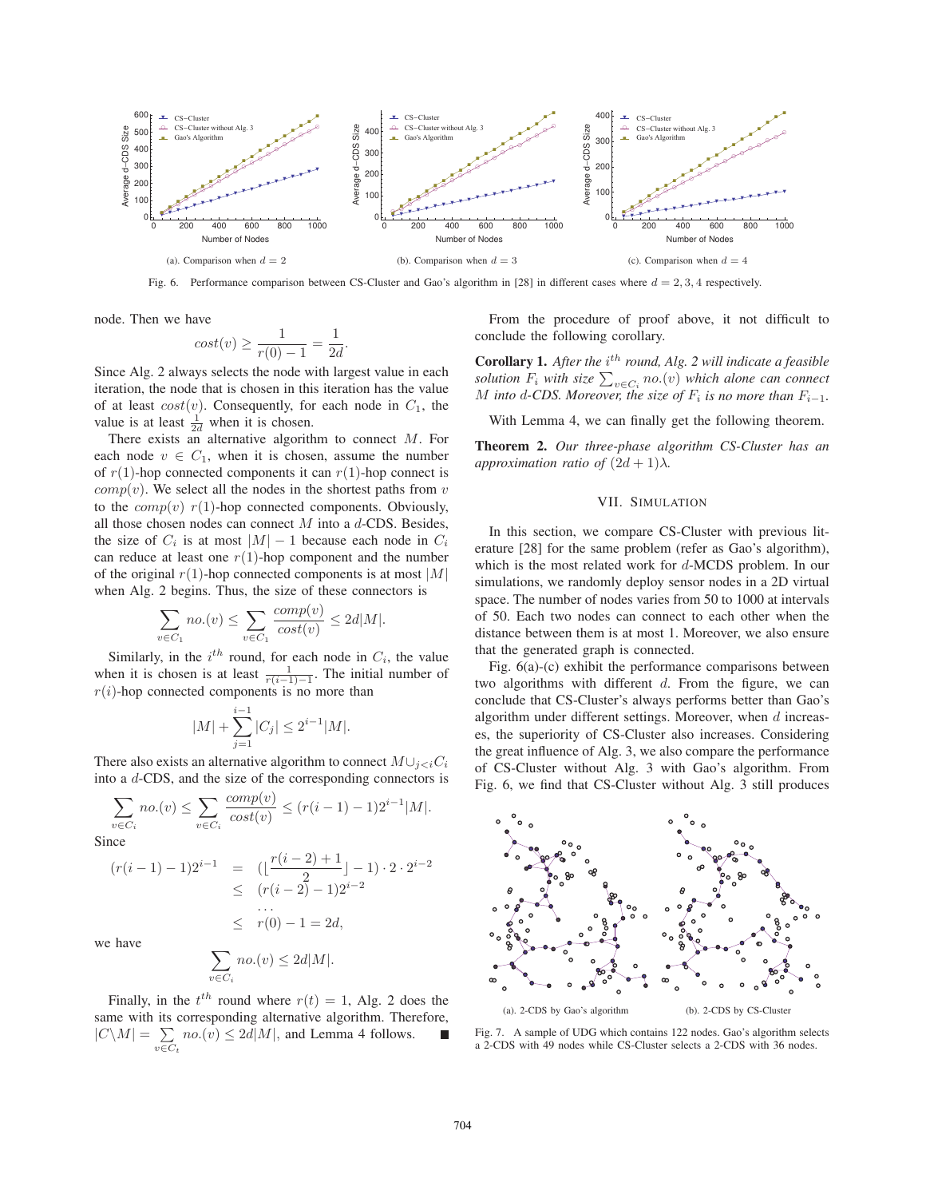

Fig. 6. Performance comparison between CS-Cluster and Gao's algorithm in [28] in different cases where  $d = 2, 3, 4$  respectively.

node. Then we have

$$
cost(v) \ge \frac{1}{r(0) - 1} = \frac{1}{2d}.
$$

 $cost(v) \ge \frac{1}{r(0)-1} = \frac{1}{2d}$ .<br>Since Alg. 2 always selects the node with largest value in each iteration, the node that is chosen in this iteration has the value of at least  $cost(v)$ . Consequently, for each node in  $C_1$ , the value is at least  $\frac{1}{2d}$  when it is chosen.

There exists an alternative algorithm to connect M. For each node  $v \in C_1$ , when it is chosen, assume the number of  $r(1)$ -hop connected components it can  $r(1)$ -hop connect is  $comp(v)$ . We select all the nodes in the shortest paths from v to the  $comp(v)$  r(1)-hop connected components. Obviously, all those chosen nodes can connect  $M$  into a  $d$ -CDS. Besides, the size of  $C_i$  is at most  $|M| - 1$  because each node in  $C_i$ can reduce at least one  $r(1)$ -hop component and the number of the original  $r(1)$ -hop connected components is at most |M| when Alg. 2 begins. Thus, the size of these connectors is

$$
\sum_{v \in C_1} no(v) \le \sum_{v \in C_1} \frac{comp(v)}{cost(v)} \le 2d|M|.
$$

Similarly, in the  $i^{th}$  round, for each node in  $C_i$ , the value when it is chosen is at least  $\frac{1}{r(i-1)-1}$ . The initial number of  $r(i)$ -hop connected components is no more than

$$
|M|+\sum_{j=1}^{i-1}|C_j|\leq 2^{i-1}|M|.
$$

There also exists an alternative algorithm to connect  $M \cup_{i \leq i} C_i$ into a d-CDS, and the size of the corresponding connectors is

$$
\sum_{v \in C_i} no.(v) \le \sum_{v \in C_i} \frac{comp(v)}{cost(v)} \le (r(i-1) - 1)2^{i-1}|M|.
$$

Since

 $W<sub>0</sub>$ 

$$
(r(i-1)-1)2^{i-1} = ( \lfloor \frac{r(i-2)+1}{2} \rfloor - 1) \cdot 2 \cdot 2^{i-2}
$$
  
\n
$$
\leq (r(i-2)-1)2^{i-2}
$$
  
\n
$$
\leq r(0) - 1 = 2d,
$$
  
\n
$$
\sum_{v \in C_i} n o.(v) \leq 2d|M|.
$$

Finally, in the  $t^{th}$  round where  $r(t) = 1$ , Alg. 2 does the with its corresponding alternative algorithm. Therefore same with its corresponding alternative algorithm. Therefore,  $|C\backslash M| = \sum_{v \in C_t} no(v) \le 2d|M|$ , and Lemma 4 follows.  $\Box$ 

From the procedure of proof above, it not difficult to conclude the following corollary.

Corollary 1. After the i<sup>th</sup> round, Alg. 2 will indicate a feasible *solution*  $F_i$  *with size*  $\sum_{v \in C_i} no.(v)$  *which alone can connect*  $M$  *into* d-CDS. Moreover, the size of  $F_i$  is no more than  $F_{i-1}$ .

With Lemma 4, we can finally get the following theorem.

Theorem 2. *Our three-phase algorithm CS-Cluster has an approximation ratio of*  $(2d + 1)\lambda$ .

## VII. SIMULATION

In this section, we compare CS-Cluster with previous literature [28] for the same problem (refer as Gao's algorithm), which is the most related work for d-MCDS problem. In our simulations, we randomly deploy sensor nodes in a 2D virtual space. The number of nodes varies from 50 to 1000 at intervals of 50. Each two nodes can connect to each other when the distance between them is at most 1. Moreover, we also ensure that the generated graph is connected.

Fig. 6(a)-(c) exhibit the performance comparisons between two algorithms with different  $d$ . From the figure, we can conclude that CS-Cluster's always performs better than Gao's algorithm under different settings. Moreover, when  $d$  increases, the superiority of CS-Cluster also increases. Considering the great influence of Alg. 3, we also compare the performance of CS-Cluster without Alg. 3 with Gao's algorithm. From Fig. 6, we find that CS-Cluster without Alg. 3 still produces



Fig. 7. A sample of UDG which contains 122 nodes. Gao's algorithm selects a 2-CDS with 49 nodes while CS-Cluster selects a 2-CDS with 36 nodes.